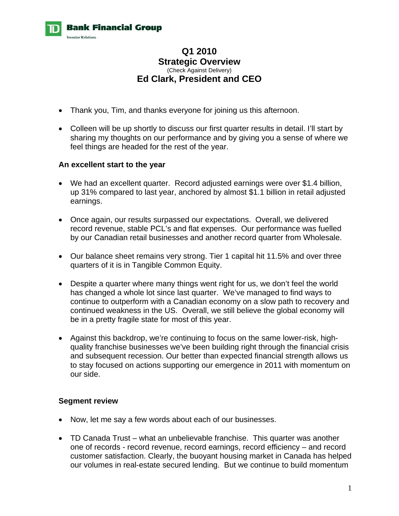

# **Q1 2010 Strategic Overview**  (Check Against Delivery) **Ed Clark, President and CEO**

- Thank you, Tim, and thanks everyone for joining us this afternoon.
- Colleen will be up shortly to discuss our first quarter results in detail. I'll start by sharing my thoughts on our performance and by giving you a sense of where we feel things are headed for the rest of the year.

## **An excellent start to the year**

- We had an excellent quarter. Record adjusted earnings were over \$1.4 billion, up 31% compared to last year, anchored by almost \$1.1 billion in retail adjusted earnings.
- Once again, our results surpassed our expectations. Overall, we delivered record revenue, stable PCL's and flat expenses. Our performance was fuelled by our Canadian retail businesses and another record quarter from Wholesale.
- Our balance sheet remains very strong. Tier 1 capital hit 11.5% and over three quarters of it is in Tangible Common Equity.
- Despite a quarter where many things went right for us, we don't feel the world has changed a whole lot since last quarter. We've managed to find ways to continue to outperform with a Canadian economy on a slow path to recovery and continued weakness in the US. Overall, we still believe the global economy will be in a pretty fragile state for most of this year.
- Against this backdrop, we're continuing to focus on the same lower-risk, highquality franchise businesses we've been building right through the financial crisis and subsequent recession. Our better than expected financial strength allows us to stay focused on actions supporting our emergence in 2011 with momentum on our side.

## **Segment review**

- Now, let me say a few words about each of our businesses.
- TD Canada Trust what an unbelievable franchise. This quarter was another one of records - record revenue, record earnings, record efficiency – and record customer satisfaction. Clearly, the buoyant housing market in Canada has helped our volumes in real-estate secured lending. But we continue to build momentum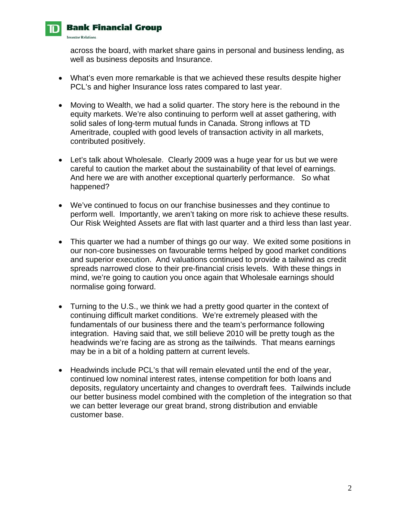

# **Bank Financial Group**

**Investor Relations** 

across the board, with market share gains in personal and business lending, as well as business deposits and Insurance.

- What's even more remarkable is that we achieved these results despite higher PCL's and higher Insurance loss rates compared to last year.
- Moving to Wealth, we had a solid quarter. The story here is the rebound in the equity markets. We're also continuing to perform well at asset gathering, with solid sales of long-term mutual funds in Canada. Strong inflows at TD Ameritrade, coupled with good levels of transaction activity in all markets, contributed positively.
- Let's talk about Wholesale. Clearly 2009 was a huge year for us but we were careful to caution the market about the sustainability of that level of earnings. And here we are with another exceptional quarterly performance. So what happened?
- We've continued to focus on our franchise businesses and they continue to perform well. Importantly, we aren't taking on more risk to achieve these results. Our Risk Weighted Assets are flat with last quarter and a third less than last year.
- This quarter we had a number of things go our way. We exited some positions in our non-core businesses on favourable terms helped by good market conditions and superior execution. And valuations continued to provide a tailwind as credit spreads narrowed close to their pre-financial crisis levels. With these things in mind, we're going to caution you once again that Wholesale earnings should normalise going forward.
- Turning to the U.S., we think we had a pretty good quarter in the context of continuing difficult market conditions. We're extremely pleased with the fundamentals of our business there and the team's performance following integration. Having said that, we still believe 2010 will be pretty tough as the headwinds we're facing are as strong as the tailwinds. That means earnings may be in a bit of a holding pattern at current levels.
- Headwinds include PCL's that will remain elevated until the end of the year, continued low nominal interest rates, intense competition for both loans and deposits, regulatory uncertainty and changes to overdraft fees. Tailwinds include our better business model combined with the completion of the integration so that we can better leverage our great brand, strong distribution and enviable customer base.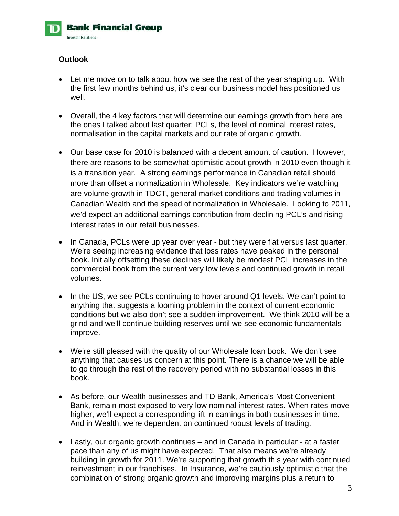

# **Outlook**

- Let me move on to talk about how we see the rest of the year shaping up. With the first few months behind us, it's clear our business model has positioned us well.
- Overall, the 4 key factors that will determine our earnings growth from here are the ones I talked about last quarter: PCLs, the level of nominal interest rates, normalisation in the capital markets and our rate of organic growth.
- Our base case for 2010 is balanced with a decent amount of caution. However, there are reasons to be somewhat optimistic about growth in 2010 even though it is a transition year. A strong earnings performance in Canadian retail should more than offset a normalization in Wholesale. Key indicators we're watching are volume growth in TDCT, general market conditions and trading volumes in Canadian Wealth and the speed of normalization in Wholesale. Looking to 2011, we'd expect an additional earnings contribution from declining PCL's and rising interest rates in our retail businesses.
- In Canada, PCLs were up year over year but they were flat versus last quarter. We're seeing increasing evidence that loss rates have peaked in the personal book. Initially offsetting these declines will likely be modest PCL increases in the commercial book from the current very low levels and continued growth in retail volumes.
- In the US, we see PCLs continuing to hover around Q1 levels. We can't point to anything that suggests a looming problem in the context of current economic conditions but we also don't see a sudden improvement. We think 2010 will be a grind and we'll continue building reserves until we see economic fundamentals improve.
- We're still pleased with the quality of our Wholesale loan book. We don't see anything that causes us concern at this point. There is a chance we will be able to go through the rest of the recovery period with no substantial losses in this book.
- As before, our Wealth businesses and TD Bank, America's Most Convenient Bank, remain most exposed to very low nominal interest rates. When rates move higher, we'll expect a corresponding lift in earnings in both businesses in time. And in Wealth, we're dependent on continued robust levels of trading.
- Lastly, our organic growth continues and in Canada in particular at a faster pace than any of us might have expected. That also means we're already building in growth for 2011. We're supporting that growth this year with continued reinvestment in our franchises. In Insurance, we're cautiously optimistic that the combination of strong organic growth and improving margins plus a return to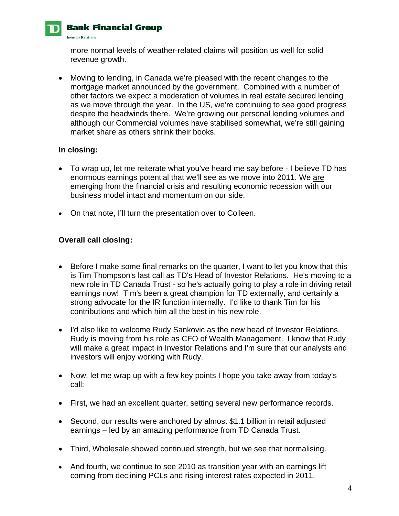

# **Bank Financial Group**

**Investor Relations.** 

more normal levels of weather-related claims will position us well for solid revenue growth.

 Moving to lending, in Canada we're pleased with the recent changes to the mortgage market announced by the government. Combined with a number of other factors we expect a moderation of volumes in real estate secured lending as we move through the year. In the US, we're continuing to see good progress despite the headwinds there. We're growing our personal lending volumes and although our Commercial volumes have stabilised somewhat, we're still gaining market share as others shrink their books.

## **In closing:**

- To wrap up, let me reiterate what you've heard me say before I believe TD has enormous earnings potential that we'll see as we move into 2011. We are emerging from the financial crisis and resulting economic recession with our business model intact and momentum on our side.
- On that note, I'll turn the presentation over to Colleen.

# **Overall call closing:**

- Before I make some final remarks on the quarter, I want to let you know that this is Tim Thompson's last call as TD's Head of Investor Relations. He's moving to a new role in TD Canada Trust - so he's actually going to play a role in driving retail earnings now! Tim's been a great champion for TD externally, and certainly a strong advocate for the IR function internally. I'd like to thank Tim for his contributions and which him all the best in his new role.
- I'd also like to welcome Rudy Sankovic as the new head of Investor Relations. Rudy is moving from his role as CFO of Wealth Management. I know that Rudy will make a great impact in Investor Relations and I'm sure that our analysts and investors will enjoy working with Rudy.
- Now, let me wrap up with a few key points I hope you take away from today's call:
- First, we had an excellent quarter, setting several new performance records.
- Second, our results were anchored by almost \$1.1 billion in retail adjusted earnings – led by an amazing performance from TD Canada Trust.
- Third, Wholesale showed continued strength, but we see that normalising.
- And fourth, we continue to see 2010 as transition year with an earnings lift coming from declining PCLs and rising interest rates expected in 2011.